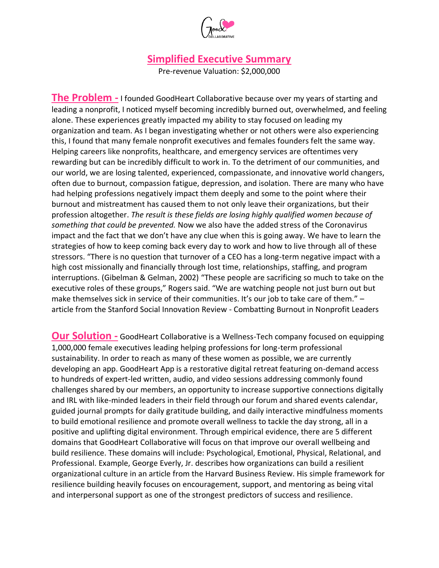

## **Simplified Executive Summary**

Pre-revenue Valuation: \$2,000,000

**The Problem** - I founded GoodHeart Collaborative because over my years of starting and leading a nonprofit, I noticed myself becoming incredibly burned out, overwhelmed, and feeling alone. These experiences greatly impacted my ability to stay focused on leading my organization and team. As I began investigating whether or not others were also experiencing this, I found that many female nonprofit executives and females founders felt the same way. Helping careers like nonprofits, healthcare, and emergency services are oftentimes very rewarding but can be incredibly difficult to work in. To the detriment of our communities, and our world, we are losing talented, experienced, compassionate, and innovative world changers, often due to burnout, compassion fatigue, depression, and isolation. There are many who have had helping professions negatively impact them deeply and some to the point where their burnout and mistreatment has caused them to not only leave their organizations, but their profession altogether. *The result is these fields are losing highly qualified women because of something that could be prevented.* Now we also have the added stress of the Coronavirus impact and the fact that we don't have any clue when this is going away. We have to learn the strategies of how to keep coming back every day to work and how to live through all of these stressors. "There is no question that turnover of a CEO has a long-term negative impact with a high cost missionally and financially through lost time, relationships, staffing, and program interruptions. (Gibelman & Gelman, 2002) "These people are sacrificing so much to take on the executive roles of these groups," Rogers said. "We are watching people not just burn out but make themselves sick in service of their communities. It's our job to take care of them." article from the Stanford Social Innovation Review - Combatting Burnout in Nonprofit Leaders

**Our Solution -** GoodHeart Collaborative is a Wellness-Tech company focused on equipping 1,000,000 female executives leading helping professions for long-term professional sustainability. In order to reach as many of these women as possible, we are currently developing an app. GoodHeart App is a restorative digital retreat featuring on-demand access to hundreds of expert-led written, audio, and video sessions addressing commonly found challenges shared by our members, an opportunity to increase supportive connections digitally and IRL with like-minded leaders in their field through our forum and shared events calendar, guided journal prompts for daily gratitude building, and daily interactive mindfulness moments to build emotional resilience and promote overall wellness to tackle the day strong, all in a positive and uplifting digital environment. Through empirical evidence, there are 5 different domains that GoodHeart Collaborative will focus on that improve our overall wellbeing and build resilience. These domains will include: Psychological, Emotional, Physical, Relational, and Professional. Example, George Everly, Jr. describes how organizations can build a resilient organizational culture in an article from the Harvard Business Review. His simple framework for resilience building heavily focuses on encouragement, support, and mentoring as being vital and interpersonal support as one of the strongest predictors of success and resilience.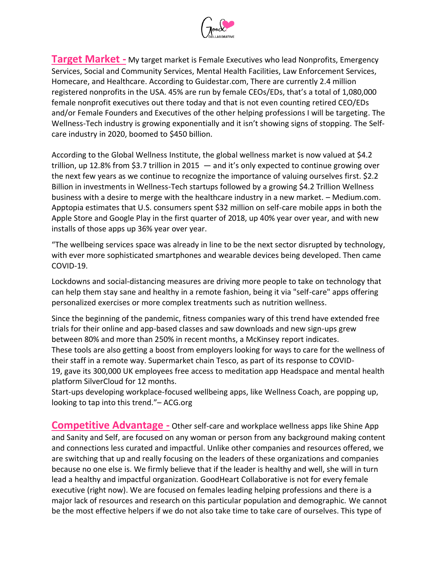

**Target Market -** My target market is Female Executives who lead Nonprofits, Emergency Services, Social and Community Services, Mental Health Facilities, Law Enforcement Services, Homecare, and Healthcare. According to Guidestar.com, There are currently 2.4 million registered nonprofits in the USA. 45% are run by female CEOs/EDs, that's a total of 1,080,000 female nonprofit executives out there today and that is not even counting retired CEO/EDs and/or Female Founders and Executives of the other helping professions I will be targeting. The Wellness-Tech industry is growing exponentially and it isn't showing signs of stopping. The Selfcare industry in 2020, boomed to \$450 billion.

According to the [Global Wellness Institute,](https://globalwellnessinstitute.org/press-room/statistics-and-facts/) the global wellness market is now valued at \$4.2 trillion, up 12.8% from \$3.7 trillion in 2015 — and it's only expected to continue growing over the next few years as we continue to recognize the importance of valuing ourselves first. \$2.2 Billion in investments in Wellness-Tech startups followed by a growing \$4.2 Trillion Wellness business with a desire to merge with the healthcare industry in a new market. – Medium.com. [Apptopia estimates](https://blog.apptopia.com/self-care-apps-growing) that U.S. consumers spent \$32 million on self-care mobile apps in both the Apple Store and Google Play in the first quarter of 2018, up 40% year over year, and with new installs of those apps up 36% year over year.

"The wellbeing services space was already in line to be the next sector disrupted by technology, with ever more sophisticated smartphones and wearable devices being developed. Then came COVID-19.

Lockdowns and social-distancing measures are driving more people to take on technology that can help them stay sane and healthy in a remote fashion, being it via "self-care" apps offering personalized exercises or more complex treatments such as nutrition wellness.

Since the beginning of the pandemic, fitness companies wary of this trend have extended free trials for their online and app-based classes and saw downloads and new sign-ups grew between 80% and more than 250% in recent months, a McKinsey [report](https://www.mckinsey.com/business-functions/marketing-and-sales/our-insights/adapting-customer-experience-in-the-time-of-coronavirus) indicates. These tools are also getting a boost from employers looking for ways to care for the wellness of their staff in a remote way. Supermarket chain Tesco, as part of its response to COVID-19, [gave](https://www.tescoplc.com/news/2020/our-latest-response-to-covid-19-22-april/) its 300,000 UK employees free access to meditation app Headspace and mental health platform SilverCloud for 12 months.

Start-ups developing workplace-focused wellbeing apps, like Wellness Coach, are popping up, looking to tap into this trend."– ACG.org

**Competitive Advantage -** Other self-care and workplace wellness apps like Shine App and Sanity and Self, are focused on any woman or person from any background making content and connections less curated and impactful. Unlike other companies and resources offered, we are switching that up and really focusing on the leaders of these organizations and companies because no one else is. We firmly believe that if the leader is healthy and well, she will in turn lead a healthy and impactful organization. GoodHeart Collaborative is not for every female executive (right now). We are focused on females leading helping professions and there is a major lack of resources and research on this particular population and demographic. We cannot be the most effective helpers if we do not also take time to take care of ourselves. This type of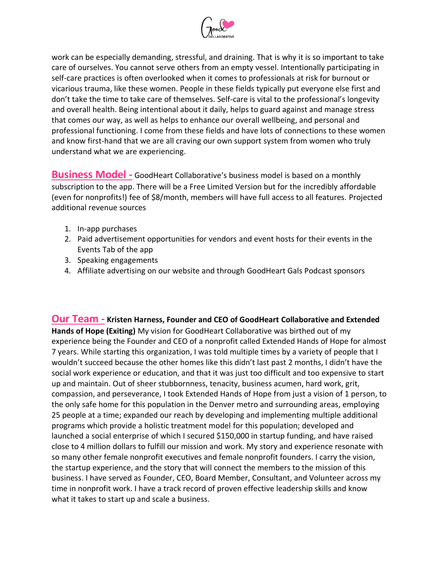

work can be especially demanding, stressful, and draining. That is why it is so important to take care of ourselves. You cannot serve others from an empty vessel. Intentionally participating in self-care practices is often overlooked when it comes to professionals at risk for burnout or vicarious trauma, like these women. People in these fields typically put everyone else first and don't take the time to take care of themselves. Self-care is vital to the professional's longevity and overall health. Being intentional about it daily, helps to guard against and manage stress that comes our way, as well as helps to enhance our overall wellbeing, and personal and professional functioning. I come from these fields and have lots of connections to these women and know first-hand that we are all craving our own support system from women who truly understand what we are experiencing.

**Business Model -** GoodHeart Collaborative's business model is based on a monthly subscription to the app. There will be a Free Limited Version but for the incredibly affordable (even for nonprofits!) fee of \$8/month, members will have full access to all features. Projected additional revenue sources

- 1. In-app purchases
- 2. Paid advertisement opportunities for vendors and event hosts for their events in the Events Tab of the app
- 3. Speaking engagements
- 4. Affiliate advertising on our website and through GoodHeart Gals Podcast sponsors

**Our Team - Kristen Harness, Founder and CEO of GoodHeart Collaborative and Extended Hands of Hope (Exiting)** My vision for GoodHeart Collaborative was birthed out of my experience being the Founder and CEO of a nonprofit called Extended Hands of Hope for almost 7 years. While starting this organization, I was told multiple times by a variety of people that I wouldn't succeed because the other homes like this didn't last past 2 months, I didn't have the social work experience or education, and that it was just too difficult and too expensive to start up and maintain. Out of sheer stubbornness, tenacity, business acumen, hard work, grit, compassion, and perseverance, I took Extended Hands of Hope from just a vision of 1 person, to the only safe home for this population in the Denver metro and surrounding areas, employing 25 people at a time; expanded our reach by developing and implementing multiple additional programs which provide a holistic treatment model for this population; developed and launched a social enterprise of which I secured \$150,000 in startup funding, and have raised close to 4 million dollars to fulfill our mission and work. My story and experience resonate with so many other female nonprofit executives and female nonprofit founders. I carry the vision, the startup experience, and the story that will connect the members to the mission of this business. I have served as Founder, CEO, Board Member, Consultant, and Volunteer across my time in nonprofit work. I have a track record of proven effective leadership skills and know what it takes to start up and scale a business.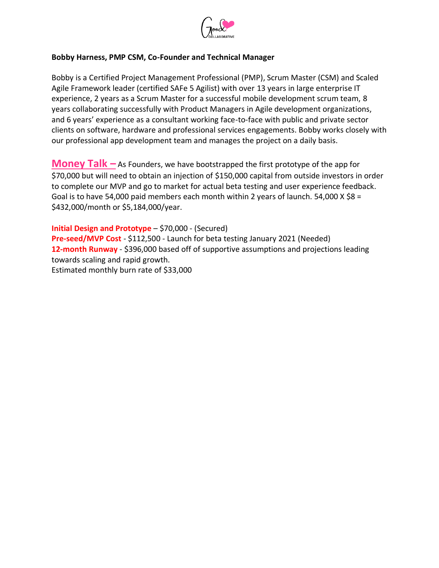

## **Bobby Harness, PMP CSM, Co-Founder and Technical Manager**

Bobby is a Certified Project Management Professional (PMP), Scrum Master (CSM) and Scaled Agile Framework leader (certified SAFe 5 Agilist) with over 13 years in large enterprise IT experience, 2 years as a Scrum Master for a successful mobile development scrum team, 8 years collaborating successfully with Product Managers in Agile development organizations, and 6 years' experience as a consultant working face-to-face with public and private sector clients on software, hardware and professional services engagements. Bobby works closely with our professional app development team and manages the project on a daily basis.

**Money Talk –** As Founders, we have bootstrapped the first prototype of the app for \$70,000 but will need to obtain an injection of \$150,000 capital from outside investors in order to complete our MVP and go to market for actual beta testing and user experience feedback. Goal is to have 54,000 paid members each month within 2 years of launch. 54,000 X  $$8 =$ \$432,000/month or \$5,184,000/year.

**Initial Design and Prototype** – \$70,000 - (Secured) **Pre-seed/MVP Cost** - \$112,500 - Launch for beta testing January 2021 (Needed) **12-month Runway** - \$396,000 based off of supportive assumptions and projections leading towards scaling and rapid growth. Estimated monthly burn rate of \$33,000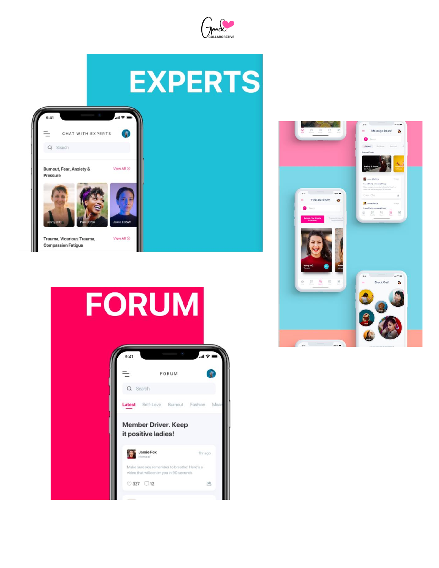